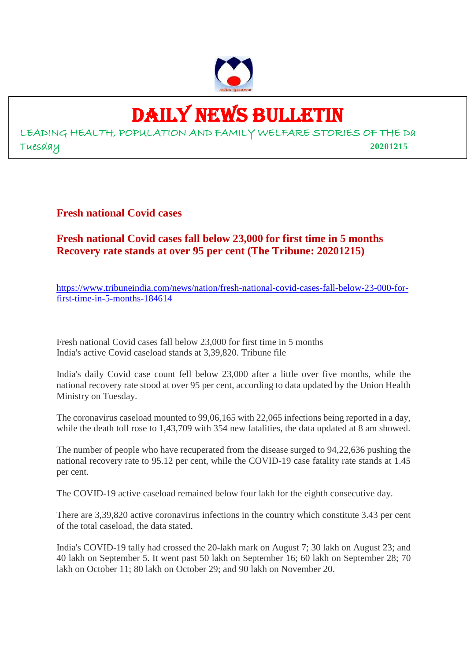

## DAILY NEWS BULLETIN

LEADING HEALTH, POPULATION AND FAMILY WELFARE STORIES OF THE Da Tuesday **20201215**

**Fresh national Covid cases**

**Fresh national Covid cases fall below 23,000 for first time in 5 months Recovery rate stands at over 95 per cent (The Tribune: 20201215)**

https://www.tribuneindia.com/news/nation/fresh-national-covid-cases-fall-below-23-000-forfirst-time-in-5-months-184614

Fresh national Covid cases fall below 23,000 for first time in 5 months India's active Covid caseload stands at 3,39,820. Tribune file

India's daily Covid case count fell below 23,000 after a little over five months, while the national recovery rate stood at over 95 per cent, according to data updated by the Union Health Ministry on Tuesday.

The coronavirus caseload mounted to 99,06,165 with 22,065 infections being reported in a day, while the death toll rose to 1,43,709 with 354 new fatalities, the data updated at 8 am showed.

The number of people who have recuperated from the disease surged to 94,22,636 pushing the national recovery rate to 95.12 per cent, while the COVID-19 case fatality rate stands at 1.45 per cent.

The COVID-19 active caseload remained below four lakh for the eighth consecutive day.

There are 3,39,820 active coronavirus infections in the country which constitute 3.43 per cent of the total caseload, the data stated.

India's COVID-19 tally had crossed the 20-lakh mark on August 7; 30 lakh on August 23; and 40 lakh on September 5. It went past 50 lakh on September 16; 60 lakh on September 28; 70 lakh on October 11; 80 lakh on October 29; and 90 lakh on November 20.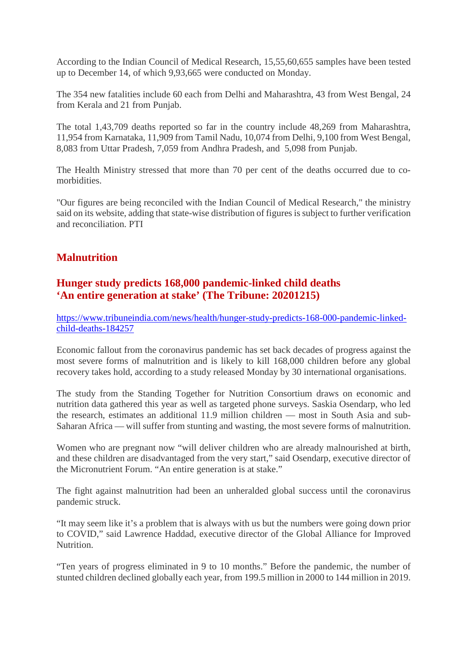According to the Indian Council of Medical Research, 15,55,60,655 samples have been tested up to December 14, of which 9,93,665 were conducted on Monday.

The 354 new fatalities include 60 each from Delhi and Maharashtra, 43 from West Bengal, 24 from Kerala and 21 from Punjab.

The total 1,43,709 deaths reported so far in the country include 48,269 from Maharashtra, 11,954 from Karnataka, 11,909 from Tamil Nadu, 10,074 from Delhi, 9,100 from West Bengal, 8,083 from Uttar Pradesh, 7,059 from Andhra Pradesh, and 5,098 from Punjab.

The Health Ministry stressed that more than 70 per cent of the deaths occurred due to comorbidities.

"Our figures are being reconciled with the Indian Council of Medical Research," the ministry said on its website, adding that state-wise distribution of figures is subject to further verification and reconciliation. PTI

#### **Malnutrition**

#### **Hunger study predicts 168,000 pandemic-linked child deaths 'An entire generation at stake' (The Tribune: 20201215)**

https://www.tribuneindia.com/news/health/hunger-study-predicts-168-000-pandemic-linkedchild-deaths-184257

Economic fallout from the coronavirus pandemic has set back decades of progress against the most severe forms of malnutrition and is likely to kill 168,000 children before any global recovery takes hold, according to a study released Monday by 30 international organisations.

The study from the Standing Together for Nutrition Consortium draws on economic and nutrition data gathered this year as well as targeted phone surveys. Saskia Osendarp, who led the research, estimates an additional 11.9 million children — most in South Asia and sub-Saharan Africa — will suffer from stunting and wasting, the most severe forms of malnutrition.

Women who are pregnant now "will deliver children who are already malnourished at birth, and these children are disadvantaged from the very start," said Osendarp, executive director of the Micronutrient Forum. "An entire generation is at stake."

The fight against malnutrition had been an unheralded global success until the coronavirus pandemic struck.

"It may seem like it's a problem that is always with us but the numbers were going down prior to COVID," said Lawrence Haddad, executive director of the Global Alliance for Improved Nutrition.

"Ten years of progress eliminated in 9 to 10 months." Before the pandemic, the number of stunted children declined globally each year, from 199.5 million in 2000 to 144 million in 2019.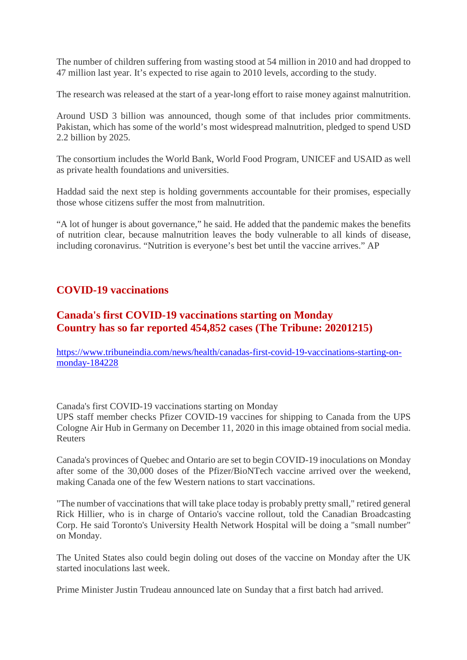The number of children suffering from wasting stood at 54 million in 2010 and had dropped to 47 million last year. It's expected to rise again to 2010 levels, according to the study.

The research was released at the start of a year-long effort to raise money against malnutrition.

Around USD 3 billion was announced, though some of that includes prior commitments. Pakistan, which has some of the world's most widespread malnutrition, pledged to spend USD 2.2 billion by 2025.

The consortium includes the World Bank, World Food Program, UNICEF and USAID as well as private health foundations and universities.

Haddad said the next step is holding governments accountable for their promises, especially those whose citizens suffer the most from malnutrition.

"A lot of hunger is about governance," he said. He added that the pandemic makes the benefits of nutrition clear, because malnutrition leaves the body vulnerable to all kinds of disease, including coronavirus. "Nutrition is everyone's best bet until the vaccine arrives." AP

#### **COVID-19 vaccinations**

#### **Canada's first COVID-19 vaccinations starting on Monday Country has so far reported 454,852 cases (The Tribune: 20201215)**

https://www.tribuneindia.com/news/health/canadas-first-covid-19-vaccinations-starting-onmonday-184228

Canada's first COVID-19 vaccinations starting on Monday

UPS staff member checks Pfizer COVID-19 vaccines for shipping to Canada from the UPS Cologne Air Hub in Germany on December 11, 2020 in this image obtained from social media. Reuters

Canada's provinces of Quebec and Ontario are set to begin COVID-19 inoculations on Monday after some of the 30,000 doses of the Pfizer/BioNTech vaccine arrived over the weekend, making Canada one of the few Western nations to start vaccinations.

"The number of vaccinations that will take place today is probably pretty small," retired general Rick Hillier, who is in charge of Ontario's vaccine rollout, told the Canadian Broadcasting Corp. He said Toronto's University Health Network Hospital will be doing a "small number" on Monday.

The United States also could begin doling out doses of the vaccine on Monday after the UK started inoculations last week.

Prime Minister Justin Trudeau announced late on Sunday that a first batch had arrived.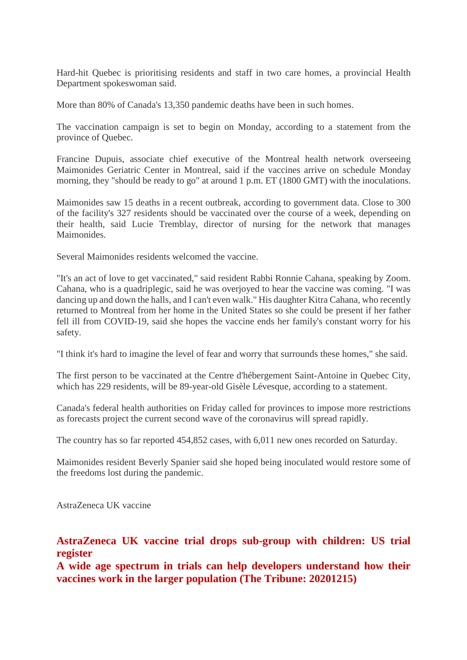Hard-hit Quebec is prioritising residents and staff in two care homes, a provincial Health Department spokeswoman said.

More than 80% of Canada's 13,350 pandemic deaths have been in such homes.

The vaccination campaign is set to begin on Monday, according to a statement from the province of Quebec.

Francine Dupuis, associate chief executive of the Montreal health network overseeing Maimonides Geriatric Center in Montreal, said if the vaccines arrive on schedule Monday morning, they "should be ready to go" at around 1 p.m. ET (1800 GMT) with the inoculations.

Maimonides saw 15 deaths in a recent outbreak, according to government data. Close to 300 of the facility's 327 residents should be vaccinated over the course of a week, depending on their health, said Lucie Tremblay, director of nursing for the network that manages Maimonides.

Several Maimonides residents welcomed the vaccine.

"It's an act of love to get vaccinated," said resident Rabbi Ronnie Cahana, speaking by Zoom. Cahana, who is a quadriplegic, said he was overjoyed to hear the vaccine was coming. "I was dancing up and down the halls, and I can't even walk." His daughter Kitra Cahana, who recently returned to Montreal from her home in the United States so she could be present if her father fell ill from COVID-19, said she hopes the vaccine ends her family's constant worry for his safety.

"I think it's hard to imagine the level of fear and worry that surrounds these homes," she said.

The first person to be vaccinated at the Centre d'hébergement Saint-Antoine in Quebec City, which has 229 residents, will be 89-year-old Gisèle Lévesque, according to a statement.

Canada's federal health authorities on Friday called for provinces to impose more restrictions as forecasts project the current second wave of the coronavirus will spread rapidly.

The country has so far reported 454,852 cases, with 6,011 new ones recorded on Saturday.

Maimonides resident Beverly Spanier said she hoped being inoculated would restore some of the freedoms lost during the pandemic.

AstraZeneca UK vaccine

#### **AstraZeneca UK vaccine trial drops sub-group with children: US trial register**

**A wide age spectrum in trials can help developers understand how their vaccines work in the larger population (The Tribune: 20201215)**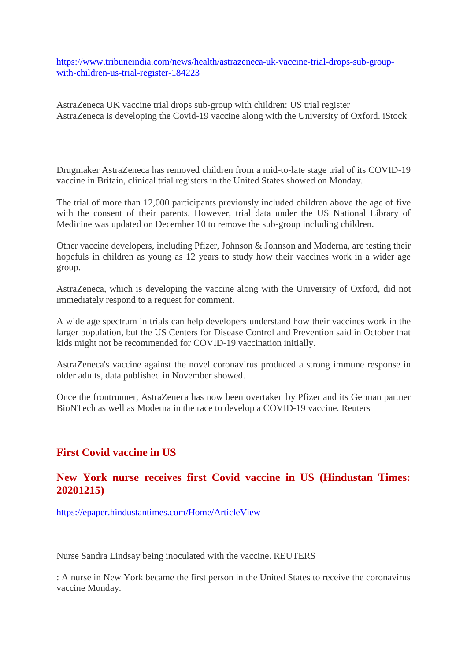https://www.tribuneindia.com/news/health/astrazeneca-uk-vaccine-trial-drops-sub-groupwith-children-us-trial-register-184223

AstraZeneca UK vaccine trial drops sub-group with children: US trial register AstraZeneca is developing the Covid-19 vaccine along with the University of Oxford. iStock

Drugmaker AstraZeneca has removed children from a mid-to-late stage trial of its COVID-19 vaccine in Britain, clinical trial registers in the United States showed on Monday.

The trial of more than 12,000 participants previously included children above the age of five with the consent of their parents. However, trial data under the US National Library of Medicine was updated on December 10 to remove the sub-group including children.

Other vaccine developers, including Pfizer, Johnson & Johnson and Moderna, are testing their hopefuls in children as young as 12 years to study how their vaccines work in a wider age group.

AstraZeneca, which is developing the vaccine along with the University of Oxford, did not immediately respond to a request for comment.

A wide age spectrum in trials can help developers understand how their vaccines work in the larger population, but the US Centers for Disease Control and Prevention said in October that kids might not be recommended for COVID-19 vaccination initially.

AstraZeneca's vaccine against the novel coronavirus produced a strong immune response in older adults, data published in November showed.

Once the frontrunner, AstraZeneca has now been overtaken by Pfizer and its German partner BioNTech as well as Moderna in the race to develop a COVID-19 vaccine. Reuters

#### **First Covid vaccine in US**

#### **New York nurse receives first Covid vaccine in US (Hindustan Times: 20201215)**

https://epaper.hindustantimes.com/Home/ArticleView

Nurse Sandra Lindsay being inoculated with the vaccine. REUTERS

: A nurse in New York became the first person in the United States to receive the coronavirus vaccine Monday.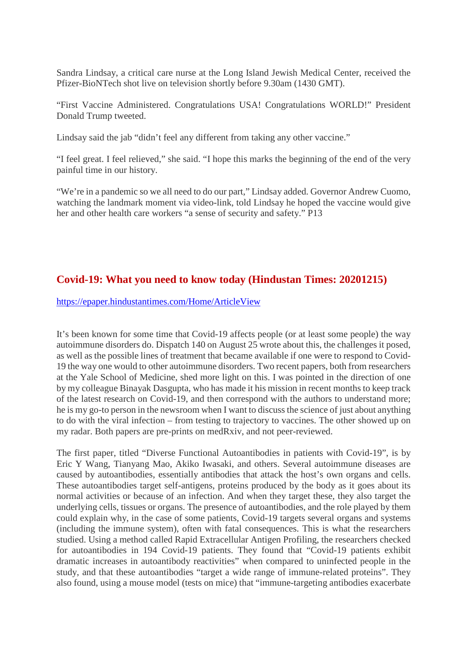Sandra Lindsay, a critical care nurse at the Long Island Jewish Medical Center, received the Pfizer-BioNTech shot live on television shortly before 9.30am (1430 GMT).

"First Vaccine Administered. Congratulations USA! Congratulations WORLD!" President Donald Trump tweeted.

Lindsay said the jab "didn't feel any different from taking any other vaccine."

"I feel great. I feel relieved," she said. "I hope this marks the beginning of the end of the very painful time in our history.

"We're in a pandemic so we all need to do our part," Lindsay added. Governor Andrew Cuomo, watching the landmark moment via video-link, told Lindsay he hoped the vaccine would give her and other health care workers "a sense of security and safety." P13

#### **Covid-19: What you need to know today (Hindustan Times: 20201215)**

https://epaper.hindustantimes.com/Home/ArticleView

It's been known for some time that Covid-19 affects people (or at least some people) the way autoimmune disorders do. Dispatch 140 on August 25 wrote about this, the challenges it posed, as well as the possible lines of treatment that became available if one were to respond to Covid-19 the way one would to other autoimmune disorders. Two recent papers, both from researchers at the Yale School of Medicine, shed more light on this. I was pointed in the direction of one by my colleague Binayak Dasgupta, who has made it his mission in recent months to keep track of the latest research on Covid-19, and then correspond with the authors to understand more; he is my go-to person in the newsroom when I want to discuss the science of just about anything to do with the viral infection – from testing to trajectory to vaccines. The other showed up on my radar. Both papers are pre-prints on medRxiv, and not peer-reviewed.

The first paper, titled "Diverse Functional Autoantibodies in patients with Covid-19", is by Eric Y Wang, Tianyang Mao, Akiko Iwasaki, and others. Several autoimmune diseases are caused by autoantibodies, essentially antibodies that attack the host's own organs and cells. These autoantibodies target self-antigens, proteins produced by the body as it goes about its normal activities or because of an infection. And when they target these, they also target the underlying cells, tissues or organs. The presence of autoantibodies, and the role played by them could explain why, in the case of some patients, Covid-19 targets several organs and systems (including the immune system), often with fatal consequences. This is what the researchers studied. Using a method called Rapid Extracellular Antigen Profiling, the researchers checked for autoantibodies in 194 Covid-19 patients. They found that "Covid-19 patients exhibit dramatic increases in autoantibody reactivities" when compared to uninfected people in the study, and that these autoantibodies "target a wide range of immune-related proteins". They also found, using a mouse model (tests on mice) that "immune-targeting antibodies exacerbate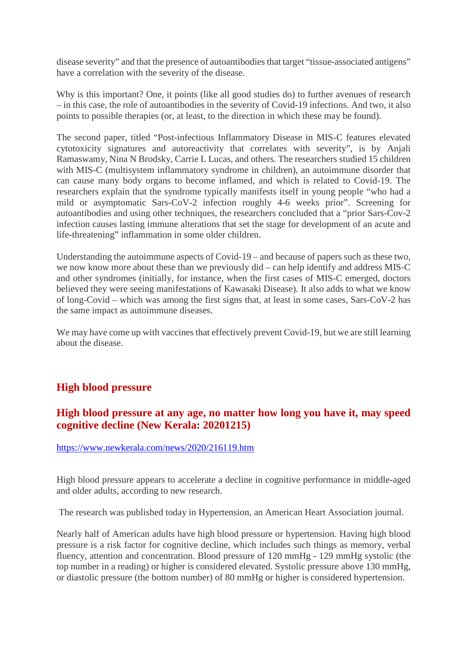disease severity" and that the presence of autoantibodies that target "tissue-associated antigens" have a correlation with the severity of the disease.

Why is this important? One, it points (like all good studies do) to further avenues of research – in this case, the role of autoantibodies in the severity of Covid-19 infections. And two, it also points to possible therapies (or, at least, to the direction in which these may be found).

The second paper, titled "Post-infectious Inflammatory Disease in MIS-C features elevated cytotoxicity signatures and autoreactivity that correlates with severity", is by Anjali Ramaswamy, Nina N Brodsky, Carrie L Lucas, and others. The researchers studied 15 children with MIS-C (multisystem inflammatory syndrome in children), an autoimmune disorder that can cause many body organs to become inflamed, and which is related to Covid-19. The researchers explain that the syndrome typically manifests itself in young people "who had a mild or asymptomatic Sars-CoV-2 infection roughly 4-6 weeks prior". Screening for autoantibodies and using other techniques, the researchers concluded that a "prior Sars-Cov-2 infection causes lasting immune alterations that set the stage for development of an acute and life-threatening" inflammation in some older children.

Understanding the autoimmune aspects of Covid-19 – and because of papers such as these two, we now know more about these than we previously did – can help identify and address MIS-C and other syndromes (initially, for instance, when the first cases of MIS-C emerged, doctors believed they were seeing manifestations of Kawasaki Disease). It also adds to what we know of long-Covid – which was among the first signs that, at least in some cases, Sars-CoV-2 has the same impact as autoimmune diseases.

We may have come up with vaccines that effectively prevent Covid-19, but we are still learning about the disease.

#### **High blood pressure**

#### **High blood pressure at any age, no matter how long you have it, may speed cognitive decline (New Kerala: 20201215)**

#### https://www.newkerala.com/news/2020/216119.htm

High blood pressure appears to accelerate a decline in cognitive performance in middle-aged and older adults, according to new research.

The research was published today in Hypertension, an American Heart Association journal.

Nearly half of American adults have high blood pressure or hypertension. Having high blood pressure is a risk factor for cognitive decline, which includes such things as memory, verbal fluency, attention and concentration. Blood pressure of 120 mmHg - 129 mmHg systolic (the top number in a reading) or higher is considered elevated. Systolic pressure above 130 mmHg, or diastolic pressure (the bottom number) of 80 mmHg or higher is considered hypertension.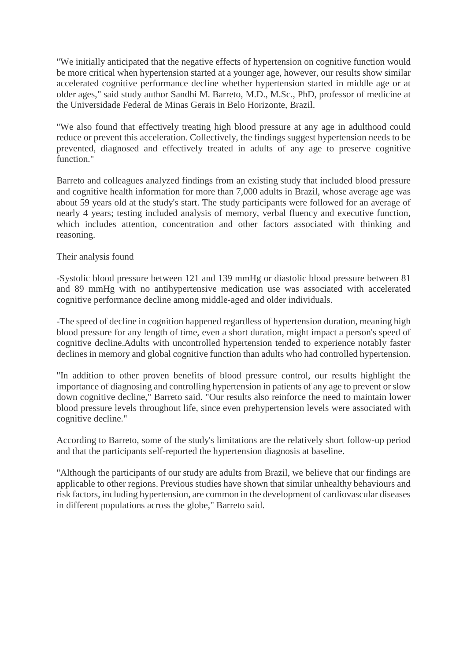"We initially anticipated that the negative effects of hypertension on cognitive function would be more critical when hypertension started at a younger age, however, our results show similar accelerated cognitive performance decline whether hypertension started in middle age or at older ages," said study author Sandhi M. Barreto, M.D., M.Sc., PhD, professor of medicine at the Universidade Federal de Minas Gerais in Belo Horizonte, Brazil.

"We also found that effectively treating high blood pressure at any age in adulthood could reduce or prevent this acceleration. Collectively, the findings suggest hypertension needs to be prevented, diagnosed and effectively treated in adults of any age to preserve cognitive function."

Barreto and colleagues analyzed findings from an existing study that included blood pressure and cognitive health information for more than 7,000 adults in Brazil, whose average age was about 59 years old at the study's start. The study participants were followed for an average of nearly 4 years; testing included analysis of memory, verbal fluency and executive function, which includes attention, concentration and other factors associated with thinking and reasoning.

#### Their analysis found

-Systolic blood pressure between 121 and 139 mmHg or diastolic blood pressure between 81 and 89 mmHg with no antihypertensive medication use was associated with accelerated cognitive performance decline among middle-aged and older individuals.

-The speed of decline in cognition happened regardless of hypertension duration, meaning high blood pressure for any length of time, even a short duration, might impact a person's speed of cognitive decline.Adults with uncontrolled hypertension tended to experience notably faster declines in memory and global cognitive function than adults who had controlled hypertension.

"In addition to other proven benefits of blood pressure control, our results highlight the importance of diagnosing and controlling hypertension in patients of any age to prevent or slow down cognitive decline," Barreto said. "Our results also reinforce the need to maintain lower blood pressure levels throughout life, since even prehypertension levels were associated with cognitive decline."

According to Barreto, some of the study's limitations are the relatively short follow-up period and that the participants self-reported the hypertension diagnosis at baseline.

"Although the participants of our study are adults from Brazil, we believe that our findings are applicable to other regions. Previous studies have shown that similar unhealthy behaviours and risk factors, including hypertension, are common in the development of cardiovascular diseases in different populations across the globe," Barreto said.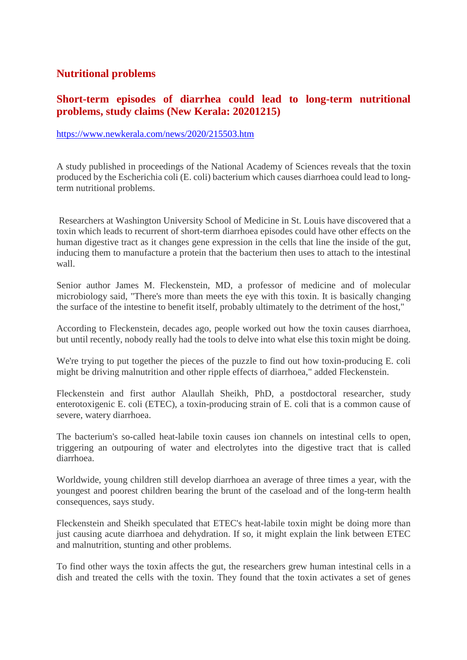#### **Nutritional problems**

#### **Short-term episodes of diarrhea could lead to long-term nutritional problems, study claims (New Kerala: 20201215)**

#### https://www.newkerala.com/news/2020/215503.htm

A study published in proceedings of the National Academy of Sciences reveals that the toxin produced by the Escherichia coli (E. coli) bacterium which causes diarrhoea could lead to longterm nutritional problems.

Researchers at Washington University School of Medicine in St. Louis have discovered that a toxin which leads to recurrent of short-term diarrhoea episodes could have other effects on the human digestive tract as it changes gene expression in the cells that line the inside of the gut, inducing them to manufacture a protein that the bacterium then uses to attach to the intestinal wall.

Senior author James M. Fleckenstein, MD, a professor of medicine and of molecular microbiology said, "There's more than meets the eye with this toxin. It is basically changing the surface of the intestine to benefit itself, probably ultimately to the detriment of the host,"

According to Fleckenstein, decades ago, people worked out how the toxin causes diarrhoea, but until recently, nobody really had the tools to delve into what else this toxin might be doing.

We're trying to put together the pieces of the puzzle to find out how toxin-producing E. coli might be driving malnutrition and other ripple effects of diarrhoea," added Fleckenstein.

Fleckenstein and first author Alaullah Sheikh, PhD, a postdoctoral researcher, study enterotoxigenic E. coli (ETEC), a toxin-producing strain of E. coli that is a common cause of severe, watery diarrhoea.

The bacterium's so-called heat-labile toxin causes ion channels on intestinal cells to open, triggering an outpouring of water and electrolytes into the digestive tract that is called diarrhoea.

Worldwide, young children still develop diarrhoea an average of three times a year, with the youngest and poorest children bearing the brunt of the caseload and of the long-term health consequences, says study.

Fleckenstein and Sheikh speculated that ETEC's heat-labile toxin might be doing more than just causing acute diarrhoea and dehydration. If so, it might explain the link between ETEC and malnutrition, stunting and other problems.

To find other ways the toxin affects the gut, the researchers grew human intestinal cells in a dish and treated the cells with the toxin. They found that the toxin activates a set of genes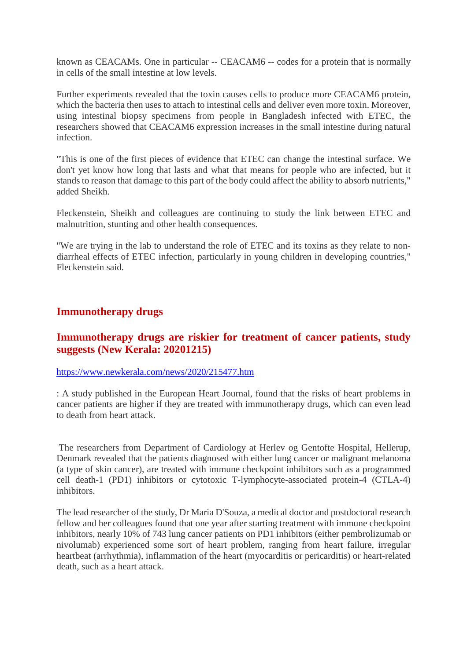known as CEACAMs. One in particular -- CEACAM6 -- codes for a protein that is normally in cells of the small intestine at low levels.

Further experiments revealed that the toxin causes cells to produce more CEACAM6 protein, which the bacteria then uses to attach to intestinal cells and deliver even more toxin. Moreover, using intestinal biopsy specimens from people in Bangladesh infected with ETEC, the researchers showed that CEACAM6 expression increases in the small intestine during natural infection.

"This is one of the first pieces of evidence that ETEC can change the intestinal surface. We don't yet know how long that lasts and what that means for people who are infected, but it stands to reason that damage to this part of the body could affect the ability to absorb nutrients," added Sheikh.

Fleckenstein, Sheikh and colleagues are continuing to study the link between ETEC and malnutrition, stunting and other health consequences.

"We are trying in the lab to understand the role of ETEC and its toxins as they relate to nondiarrheal effects of ETEC infection, particularly in young children in developing countries," Fleckenstein said.

#### **Immunotherapy drugs**

#### **Immunotherapy drugs are riskier for treatment of cancer patients, study suggests (New Kerala: 20201215)**

#### https://www.newkerala.com/news/2020/215477.htm

: A study published in the European Heart Journal, found that the risks of heart problems in cancer patients are higher if they are treated with immunotherapy drugs, which can even lead to death from heart attack.

The researchers from Department of Cardiology at Herlev og Gentofte Hospital, Hellerup, Denmark revealed that the patients diagnosed with either lung cancer or malignant melanoma (a type of skin cancer), are treated with immune checkpoint inhibitors such as a programmed cell death-1 (PD1) inhibitors or cytotoxic T-lymphocyte-associated protein-4 (CTLA-4) inhibitors.

The lead researcher of the study, Dr Maria D'Souza, a medical doctor and postdoctoral research fellow and her colleagues found that one year after starting treatment with immune checkpoint inhibitors, nearly 10% of 743 lung cancer patients on PD1 inhibitors (either pembrolizumab or nivolumab) experienced some sort of heart problem, ranging from heart failure, irregular heartbeat (arrhythmia), inflammation of the heart (myocarditis or pericarditis) or heart-related death, such as a heart attack.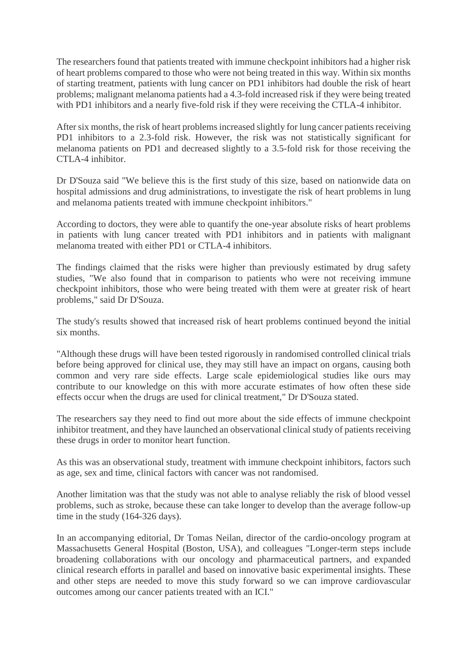The researchers found that patients treated with immune checkpoint inhibitors had a higher risk of heart problems compared to those who were not being treated in this way. Within six months of starting treatment, patients with lung cancer on PD1 inhibitors had double the risk of heart problems; malignant melanoma patients had a 4.3-fold increased risk if they were being treated with PD1 inhibitors and a nearly five-fold risk if they were receiving the CTLA-4 inhibitor.

After six months, the risk of heart problems increased slightly for lung cancer patients receiving PD1 inhibitors to a 2.3-fold risk. However, the risk was not statistically significant for melanoma patients on PD1 and decreased slightly to a 3.5-fold risk for those receiving the CTLA-4 inhibitor.

Dr D'Souza said "We believe this is the first study of this size, based on nationwide data on hospital admissions and drug administrations, to investigate the risk of heart problems in lung and melanoma patients treated with immune checkpoint inhibitors."

According to doctors, they were able to quantify the one-year absolute risks of heart problems in patients with lung cancer treated with PD1 inhibitors and in patients with malignant melanoma treated with either PD1 or CTLA-4 inhibitors.

The findings claimed that the risks were higher than previously estimated by drug safety studies, "We also found that in comparison to patients who were not receiving immune checkpoint inhibitors, those who were being treated with them were at greater risk of heart problems," said Dr D'Souza.

The study's results showed that increased risk of heart problems continued beyond the initial six months.

"Although these drugs will have been tested rigorously in randomised controlled clinical trials before being approved for clinical use, they may still have an impact on organs, causing both common and very rare side effects. Large scale epidemiological studies like ours may contribute to our knowledge on this with more accurate estimates of how often these side effects occur when the drugs are used for clinical treatment," Dr D'Souza stated.

The researchers say they need to find out more about the side effects of immune checkpoint inhibitor treatment, and they have launched an observational clinical study of patients receiving these drugs in order to monitor heart function.

As this was an observational study, treatment with immune checkpoint inhibitors, factors such as age, sex and time, clinical factors with cancer was not randomised.

Another limitation was that the study was not able to analyse reliably the risk of blood vessel problems, such as stroke, because these can take longer to develop than the average follow-up time in the study (164-326 days).

In an accompanying editorial, Dr Tomas Neilan, director of the cardio-oncology program at Massachusetts General Hospital (Boston, USA), and colleagues "Longer-term steps include broadening collaborations with our oncology and pharmaceutical partners, and expanded clinical research efforts in parallel and based on innovative basic experimental insights. These and other steps are needed to move this study forward so we can improve cardiovascular outcomes among our cancer patients treated with an ICI."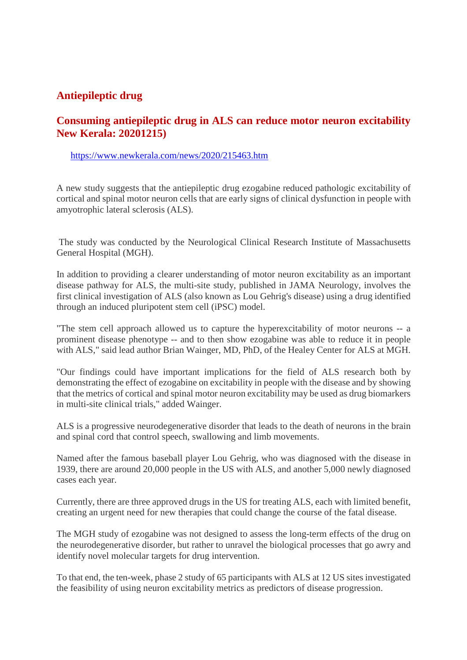#### **Antiepileptic drug**

#### **Consuming antiepileptic drug in ALS can reduce motor neuron excitability New Kerala: 20201215)**

#### https://www.newkerala.com/news/2020/215463.htm

A new study suggests that the antiepileptic drug ezogabine reduced pathologic excitability of cortical and spinal motor neuron cells that are early signs of clinical dysfunction in people with amyotrophic lateral sclerosis (ALS).

The study was conducted by the Neurological Clinical Research Institute of Massachusetts General Hospital (MGH).

In addition to providing a clearer understanding of motor neuron excitability as an important disease pathway for ALS, the multi-site study, published in JAMA Neurology, involves the first clinical investigation of ALS (also known as Lou Gehrig's disease) using a drug identified through an induced pluripotent stem cell (iPSC) model.

"The stem cell approach allowed us to capture the hyperexcitability of motor neurons -- a prominent disease phenotype -- and to then show ezogabine was able to reduce it in people with ALS," said lead author Brian Wainger, MD, PhD, of the Healey Center for ALS at MGH.

"Our findings could have important implications for the field of ALS research both by demonstrating the effect of ezogabine on excitability in people with the disease and by showing that the metrics of cortical and spinal motor neuron excitability may be used as drug biomarkers in multi-site clinical trials," added Wainger.

ALS is a progressive neurodegenerative disorder that leads to the death of neurons in the brain and spinal cord that control speech, swallowing and limb movements.

Named after the famous baseball player Lou Gehrig, who was diagnosed with the disease in 1939, there are around 20,000 people in the US with ALS, and another 5,000 newly diagnosed cases each year.

Currently, there are three approved drugs in the US for treating ALS, each with limited benefit, creating an urgent need for new therapies that could change the course of the fatal disease.

The MGH study of ezogabine was not designed to assess the long-term effects of the drug on the neurodegenerative disorder, but rather to unravel the biological processes that go awry and identify novel molecular targets for drug intervention.

To that end, the ten-week, phase 2 study of 65 participants with ALS at 12 US sites investigated the feasibility of using neuron excitability metrics as predictors of disease progression.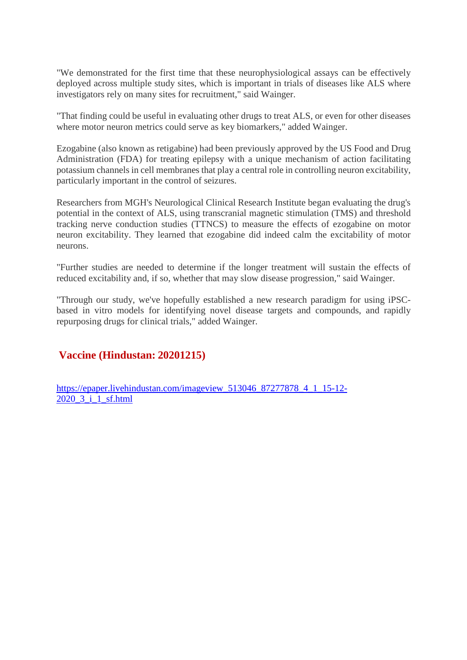"We demonstrated for the first time that these neurophysiological assays can be effectively deployed across multiple study sites, which is important in trials of diseases like ALS where investigators rely on many sites for recruitment," said Wainger.

"That finding could be useful in evaluating other drugs to treat ALS, or even for other diseases where motor neuron metrics could serve as key biomarkers," added Wainger.

Ezogabine (also known as retigabine) had been previously approved by the US Food and Drug Administration (FDA) for treating epilepsy with a unique mechanism of action facilitating potassium channels in cell membranes that play a central role in controlling neuron excitability, particularly important in the control of seizures.

Researchers from MGH's Neurological Clinical Research Institute began evaluating the drug's potential in the context of ALS, using transcranial magnetic stimulation (TMS) and threshold tracking nerve conduction studies (TTNCS) to measure the effects of ezogabine on motor neuron excitability. They learned that ezogabine did indeed calm the excitability of motor neurons.

"Further studies are needed to determine if the longer treatment will sustain the effects of reduced excitability and, if so, whether that may slow disease progression," said Wainger.

"Through our study, we've hopefully established a new research paradigm for using iPSCbased in vitro models for identifying novel disease targets and compounds, and rapidly repurposing drugs for clinical trials," added Wainger.

#### **Vaccine (Hindustan: 20201215)**

https://epaper.livehindustan.com/imageview\_513046\_87277878\_4\_1\_15-12- 2020\_3\_i\_1\_sf.html